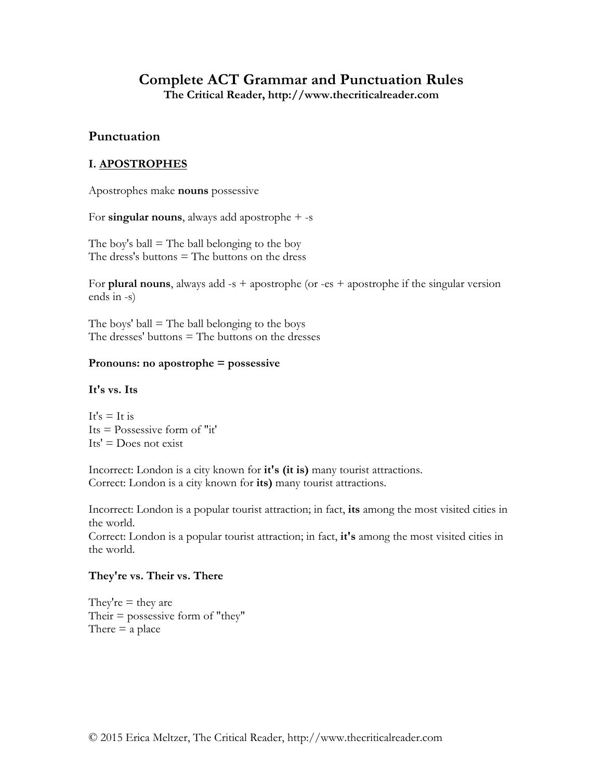# **Complete ACT Grammar and Punctuation Rules**

**The Critical Reader, http://www.thecriticalreader.com**

# **Punctuation**

# **I. APOSTROPHES**

Apostrophes make **nouns** possessive

For **singular nouns**, always add apostrophe + -s

The boy's ball  $=$  The ball belonging to the boy The dress's buttons  $=$  The buttons on the dress

For **plural nouns**, always add -s + apostrophe (or -es + apostrophe if the singular version ends in -s)

The boys' ball  $=$  The ball belonging to the boys The dresses' buttons = The buttons on the dresses

#### **Pronouns: no apostrophe = possessive**

#### **It's vs. Its**

It's  $=$  It is  $Its = Possessive form of "it"$  $Its' = Does not exist$ 

Incorrect: London is a city known for **it's (it is)** many tourist attractions. Correct: London is a city known for **its)** many tourist attractions.

Incorrect: London is a popular tourist attraction; in fact, **its** among the most visited cities in the world.

Correct: London is a popular tourist attraction; in fact, **it's** among the most visited cities in the world.

## **They're vs. Their vs. There**

They're  $=$  they are Their  $=$  possessive form of "they" There  $=$  a place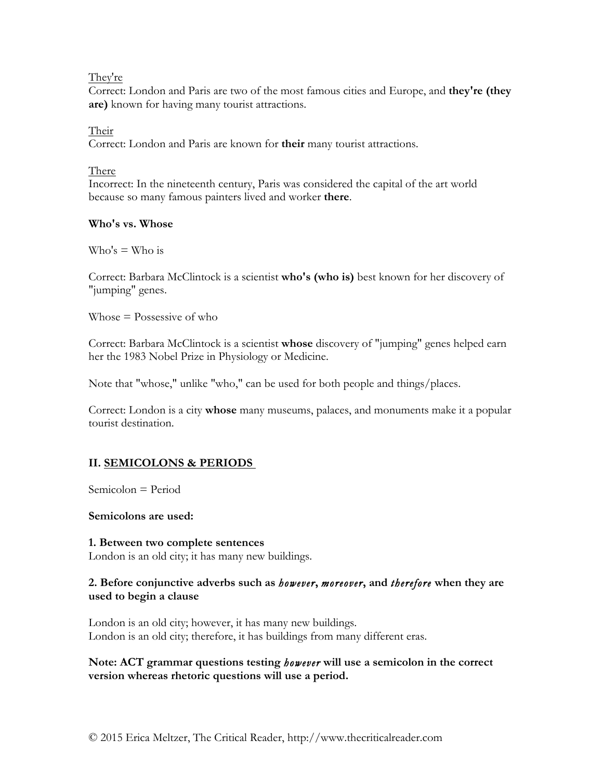They're

Correct: London and Paris are two of the most famous cities and Europe, and **they're (they are)** known for having many tourist attractions.

## Their

Correct: London and Paris are known for **their** many tourist attractions.

# There

Incorrect: In the nineteenth century, Paris was considered the capital of the art world because so many famous painters lived and worker **there**.

## **Who's vs. Whose**

 $W$ ho's  $=$  Who is

Correct: Barbara McClintock is a scientist **who's (who is)** best known for her discovery of "jumping" genes.

Whose = Possessive of who

Correct: Barbara McClintock is a scientist **whose** discovery of "jumping" genes helped earn her the 1983 Nobel Prize in Physiology or Medicine.

Note that "whose," unlike "who," can be used for both people and things/places.

Correct: London is a city **whose** many museums, palaces, and monuments make it a popular tourist destination.

# **II. SEMICOLONS & PERIODS**

Semicolon = Period

**Semicolons are used:**

# **1. Between two complete sentences**

London is an old city; it has many new buildings.

# **2. Before conjunctive adverbs such as** *however***,** *moreover***, and** *therefore* **when they are used to begin a clause**

London is an old city; however, it has many new buildings. London is an old city; therefore, it has buildings from many different eras.

**Note: ACT grammar questions testing** *however* **will use a semicolon in the correct version whereas rhetoric questions will use a period.**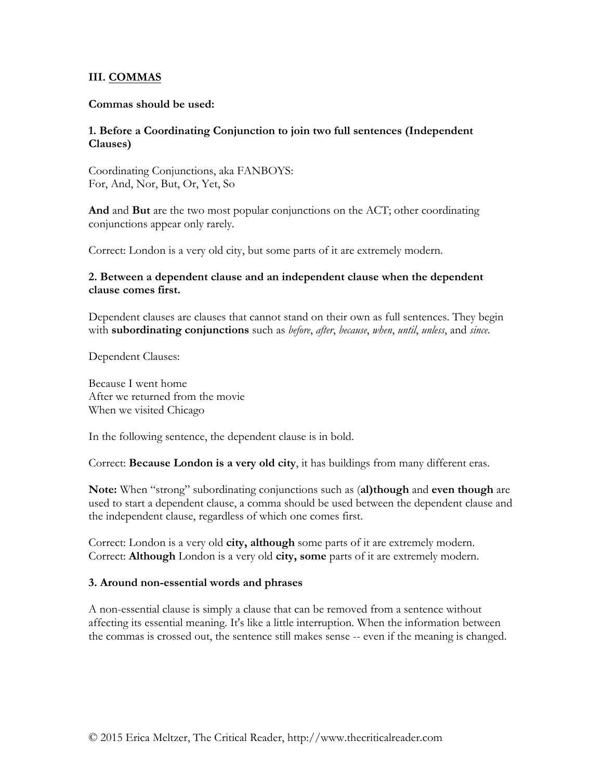## **III. COMMAS**

#### **Commas should be used:**

## **1. Before a Coordinating Conjunction to join two full sentences (Independent Clauses)**

Coordinating Conjunctions, aka FANBOYS: For, And, Nor, But, Or, Yet, So

**And** and **But** are the two most popular conjunctions on the ACT; other coordinating conjunctions appear only rarely.

Correct: London is a very old city, but some parts of it are extremely modern.

## **2. Between a dependent clause and an independent clause when the dependent clause comes first.**

Dependent clauses are clauses that cannot stand on their own as full sentences. They begin with **subordinating conjunctions** such as *before*, *after*, *because*, *when*, *until*, *unless*, and *since*.

Dependent Clauses:

Because I went home After we returned from the movie When we visited Chicago

In the following sentence, the dependent clause is in bold.

Correct: **Because London is a very old city**, it has buildings from many different eras.

**Note:** When "strong" subordinating conjunctions such as (**al)though** and **even though** are used to start a dependent clause, a comma should be used between the dependent clause and the independent clause, regardless of which one comes first.

Correct: London is a very old **city, although** some parts of it are extremely modern. Correct: **Although** London is a very old **city, some** parts of it are extremely modern.

#### **3. Around non-essential words and phrases**

A non-essential clause is simply a clause that can be removed from a sentence without affecting its essential meaning. It's like a little interruption. When the information between the commas is crossed out, the sentence still makes sense -- even if the meaning is changed.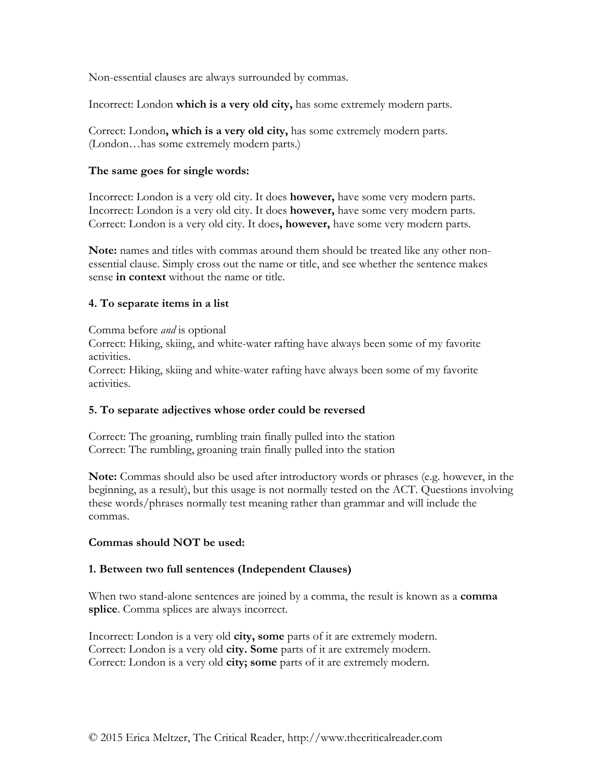Non-essential clauses are always surrounded by commas.

Incorrect: London **which is a very old city,** has some extremely modern parts.

Correct: London**, which is a very old city,** has some extremely modern parts. (London…has some extremely modern parts.)

#### **The same goes for single words:**

Incorrect: London is a very old city. It does **however,** have some very modern parts. Incorrect: London is a very old city. It does **however,** have some very modern parts. Correct: London is a very old city. It does**, however,** have some very modern parts.

**Note:** names and titles with commas around them should be treated like any other nonessential clause. Simply cross out the name or title, and see whether the sentence makes sense **in context** without the name or title.

## **4. To separate items in a list**

Comma before *and* is optional

Correct: Hiking, skiing, and white-water rafting have always been some of my favorite activities.

Correct: Hiking, skiing and white-water rafting have always been some of my favorite activities.

## **5. To separate adjectives whose order could be reversed**

Correct: The groaning, rumbling train finally pulled into the station Correct: The rumbling, groaning train finally pulled into the station

**Note:** Commas should also be used after introductory words or phrases (e.g. however, in the beginning, as a result), but this usage is not normally tested on the ACT. Questions involving these words/phrases normally test meaning rather than grammar and will include the commas.

#### **Commas should NOT be used:**

## **1. Between two full sentences (Independent Clauses)**

When two stand-alone sentences are joined by a comma, the result is known as a **comma splice**. Comma splices are always incorrect.

Incorrect: London is a very old **city, some** parts of it are extremely modern. Correct: London is a very old **city. Some** parts of it are extremely modern. Correct: London is a very old **city; some** parts of it are extremely modern.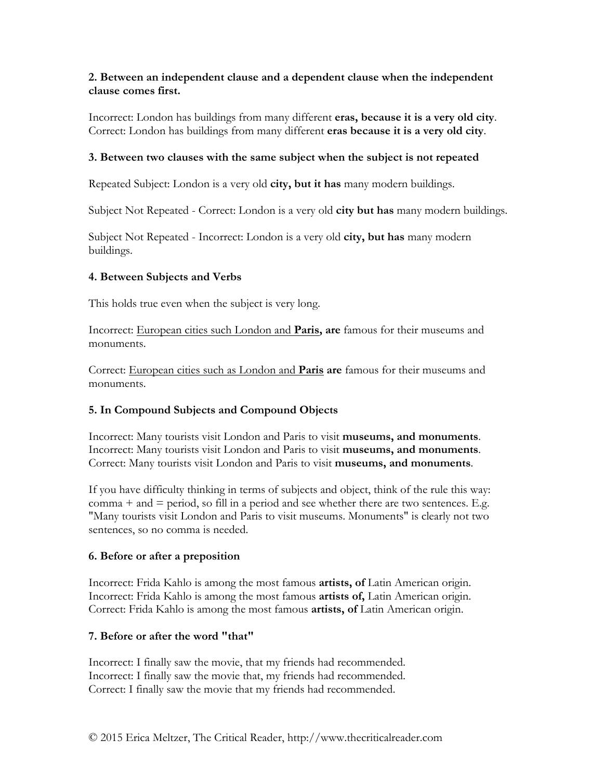## **2. Between an independent clause and a dependent clause when the independent clause comes first.**

Incorrect: London has buildings from many different **eras, because it is a very old city**. Correct: London has buildings from many different **eras because it is a very old city**.

## **3. Between two clauses with the same subject when the subject is not repeated**

Repeated Subject: London is a very old **city, but it has** many modern buildings.

Subject Not Repeated - Correct: London is a very old **city but has** many modern buildings.

Subject Not Repeated - Incorrect: London is a very old **city, but has** many modern buildings.

## **4. Between Subjects and Verbs**

This holds true even when the subject is very long.

Incorrect: European cities such London and **Paris, are** famous for their museums and monuments.

Correct: European cities such as London and **Paris are** famous for their museums and monuments.

## **5. In Compound Subjects and Compound Objects**

Incorrect: Many tourists visit London and Paris to visit **museums, and monuments**. Incorrect: Many tourists visit London and Paris to visit **museums, and monuments**. Correct: Many tourists visit London and Paris to visit **museums, and monuments**.

If you have difficulty thinking in terms of subjects and object, think of the rule this way:  $comma + and = period, so fill in a period and see whether there are two sentences. E.g.$ "Many tourists visit London and Paris to visit museums. Monuments" is clearly not two sentences, so no comma is needed.

## **6. Before or after a preposition**

Incorrect: Frida Kahlo is among the most famous **artists, of** Latin American origin. Incorrect: Frida Kahlo is among the most famous **artists of,** Latin American origin. Correct: Frida Kahlo is among the most famous **artists, of** Latin American origin.

## **7. Before or after the word "that"**

Incorrect: I finally saw the movie, that my friends had recommended. Incorrect: I finally saw the movie that, my friends had recommended. Correct: I finally saw the movie that my friends had recommended.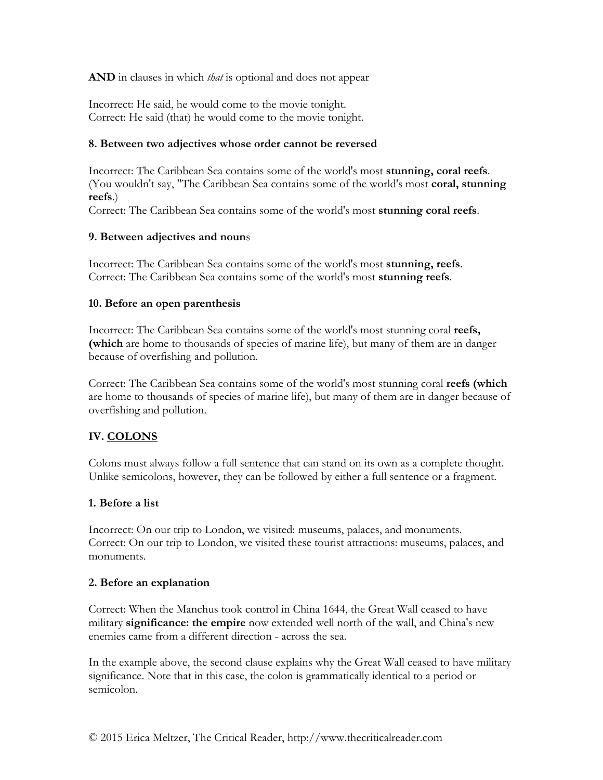**AND** in clauses in which *that* is optional and does not appear

Incorrect: He said, he would come to the movie tonight. Correct: He said (that) he would come to the movie tonight.

#### **8. Between two adjectives whose order cannot be reversed**

Incorrect: The Caribbean Sea contains some of the world's most **stunning, coral reefs**. (You wouldn't say, "The Caribbean Sea contains some of the world's most **coral, stunning reefs**.)

Correct: The Caribbean Sea contains some of the world's most **stunning coral reefs**.

#### **9. Between adjectives and noun**s

Incorrect: The Caribbean Sea contains some of the world's most **stunning, reefs**. Correct: The Caribbean Sea contains some of the world's most **stunning reefs**.

#### **10. Before an open parenthesis**

Incorrect: The Caribbean Sea contains some of the world's most stunning coral **reefs, (which** are home to thousands of species of marine life), but many of them are in danger because of overfishing and pollution.

Correct: The Caribbean Sea contains some of the world's most stunning coral **reefs (which** are home to thousands of species of marine life), but many of them are in danger because of overfishing and pollution.

## **IV. COLONS**

Colons must always follow a full sentence that can stand on its own as a complete thought. Unlike semicolons, however, they can be followed by either a full sentence or a fragment.

## **1. Before a list**

Incorrect: On our trip to London, we visited: museums, palaces, and monuments. Correct: On our trip to London, we visited these tourist attractions: museums, palaces, and monuments.

#### **2. Before an explanation**

Correct: When the Manchus took control in China 1644, the Great Wall ceased to have military **significance: the empire** now extended well north of the wall, and China's new enemies came from a different direction - across the sea.

In the example above, the second clause explains why the Great Wall ceased to have military significance. Note that in this case, the colon is grammatically identical to a period or semicolon.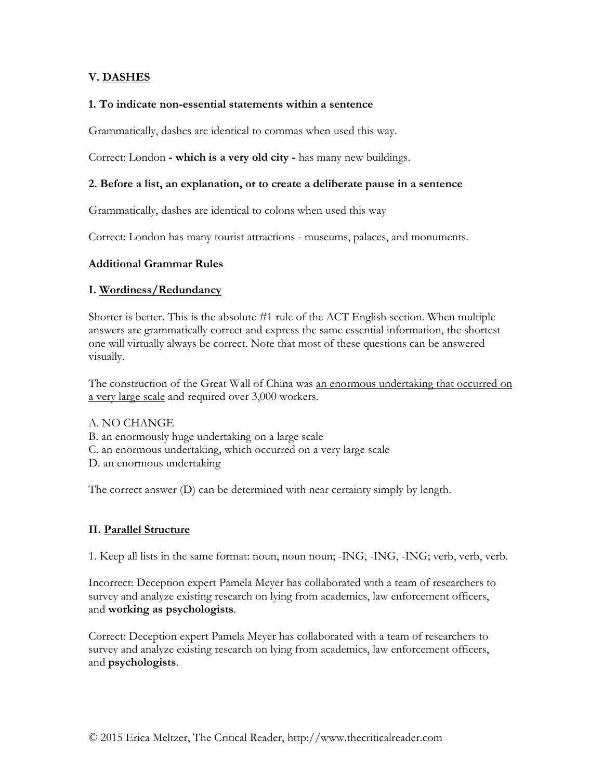# **V. DASHES**

#### **1. To indicate non-essential statements within a sentence**

Grammatically, dashes are identical to commas when used this way.

Correct: London **- which is a very old city -** has many new buildings.

#### **2. Before a list, an explanation, or to create a deliberate pause in a sentence**

Grammatically, dashes are identical to colons when used this way

Correct: London has many tourist attractions - museums, palaces, and monuments.

#### **Additional Grammar Rules**

#### **I. Wordiness/Redundancy**

Shorter is better. This is the absolute #1 rule of the ACT English section. When multiple answers are grammatically correct and express the same essential information, the shortest one will virtually always be correct. Note that most of these questions can be answered visually.

The construction of the Great Wall of China was an enormous undertaking that occurred on a very large scale and required over 3,000 workers.

A. NO CHANGE B. an enormously huge undertaking on a large scale C. an enormous undertaking, which occurred on a very large scale D. an enormous undertaking

The correct answer (D) can be determined with near certainty simply by length.

## **II. Parallel Structure**

1. Keep all lists in the same format: noun, noun noun; -ING, -ING, -ING; verb, verb, verb.

Incorrect: Deception expert Pamela Meyer has collaborated with a team of researchers to survey and analyze existing research on lying from academics, law enforcement officers, and **working as psychologists**.

Correct: Deception expert Pamela Meyer has collaborated with a team of researchers to survey and analyze existing research on lying from academics, law enforcement officers, and **psychologists**.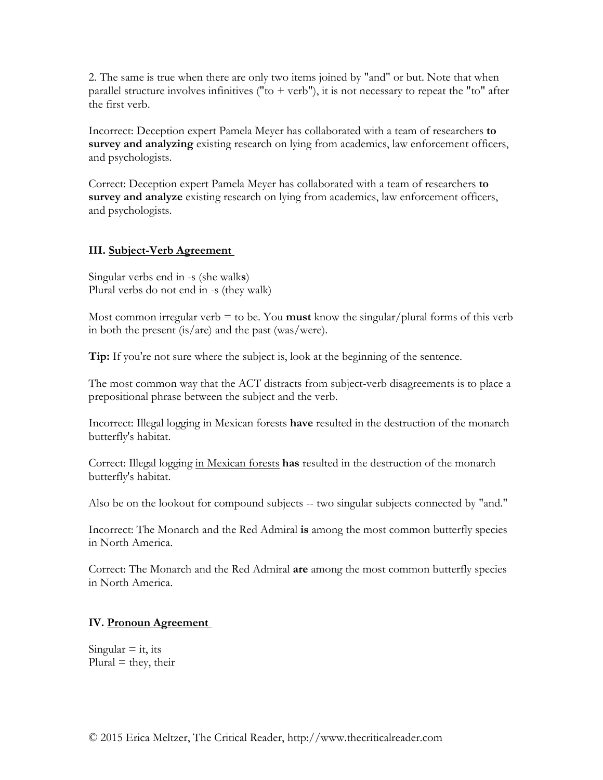2. The same is true when there are only two items joined by "and" or but. Note that when parallel structure involves infinitives ("to  $+$  verb"), it is not necessary to repeat the "to" after the first verb.

Incorrect: Deception expert Pamela Meyer has collaborated with a team of researchers **to survey and analyzing** existing research on lying from academics, law enforcement officers, and psychologists.

Correct: Deception expert Pamela Meyer has collaborated with a team of researchers **to survey and analyze** existing research on lying from academics, law enforcement officers, and psychologists.

# **III. Subject-Verb Agreement**

Singular verbs end in -s (she walk**s**) Plural verbs do not end in -s (they walk)

Most common irregular verb  $=$  to be. You **must** know the singular/plural forms of this verb in both the present (is/are) and the past (was/were).

**Tip:** If you're not sure where the subject is, look at the beginning of the sentence.

The most common way that the ACT distracts from subject-verb disagreements is to place a prepositional phrase between the subject and the verb.

Incorrect: Illegal logging in Mexican forests **have** resulted in the destruction of the monarch butterfly's habitat.

Correct: Illegal logging in Mexican forests **has** resulted in the destruction of the monarch butterfly's habitat.

Also be on the lookout for compound subjects -- two singular subjects connected by "and."

Incorrect: The Monarch and the Red Admiral **is** among the most common butterfly species in North America.

Correct: The Monarch and the Red Admiral **are** among the most common butterfly species in North America.

# **IV. Pronoun Agreement**

Singular  $=$  it, its  $Plural = they, their$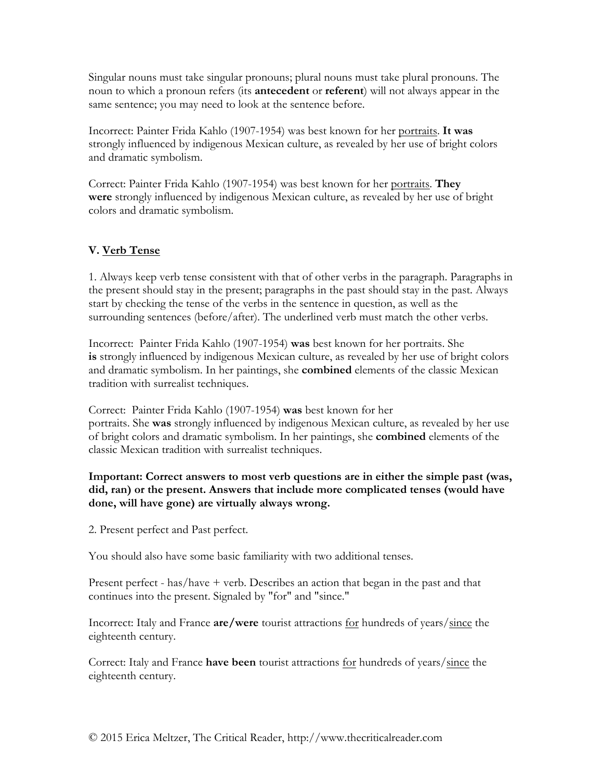Singular nouns must take singular pronouns; plural nouns must take plural pronouns. The noun to which a pronoun refers (its **antecedent** or **referent**) will not always appear in the same sentence; you may need to look at the sentence before.

Incorrect: Painter Frida Kahlo (1907-1954) was best known for her portraits. **It was** strongly influenced by indigenous Mexican culture, as revealed by her use of bright colors and dramatic symbolism.

Correct: Painter Frida Kahlo (1907-1954) was best known for her portraits. **They were** strongly influenced by indigenous Mexican culture, as revealed by her use of bright colors and dramatic symbolism.

# **V. Verb Tense**

1. Always keep verb tense consistent with that of other verbs in the paragraph. Paragraphs in the present should stay in the present; paragraphs in the past should stay in the past. Always start by checking the tense of the verbs in the sentence in question, as well as the surrounding sentences (before/after). The underlined verb must match the other verbs.

Incorrect: Painter Frida Kahlo (1907-1954) **was** best known for her portraits. She **is** strongly influenced by indigenous Mexican culture, as revealed by her use of bright colors and dramatic symbolism. In her paintings, she **combined** elements of the classic Mexican tradition with surrealist techniques.

Correct: Painter Frida Kahlo (1907-1954) **was** best known for her portraits. She **was** strongly influenced by indigenous Mexican culture, as revealed by her use of bright colors and dramatic symbolism. In her paintings, she **combined** elements of the classic Mexican tradition with surrealist techniques.

# **Important: Correct answers to most verb questions are in either the simple past (was, did, ran) or the present. Answers that include more complicated tenses (would have done, will have gone) are virtually always wrong.**

2. Present perfect and Past perfect.

You should also have some basic familiarity with two additional tenses.

Present perfect - has/have + verb. Describes an action that began in the past and that continues into the present. Signaled by "for" and "since."

Incorrect: Italy and France **are/were** tourist attractions for hundreds of years/since the eighteenth century.

Correct: Italy and France **have been** tourist attractions for hundreds of years/since the eighteenth century.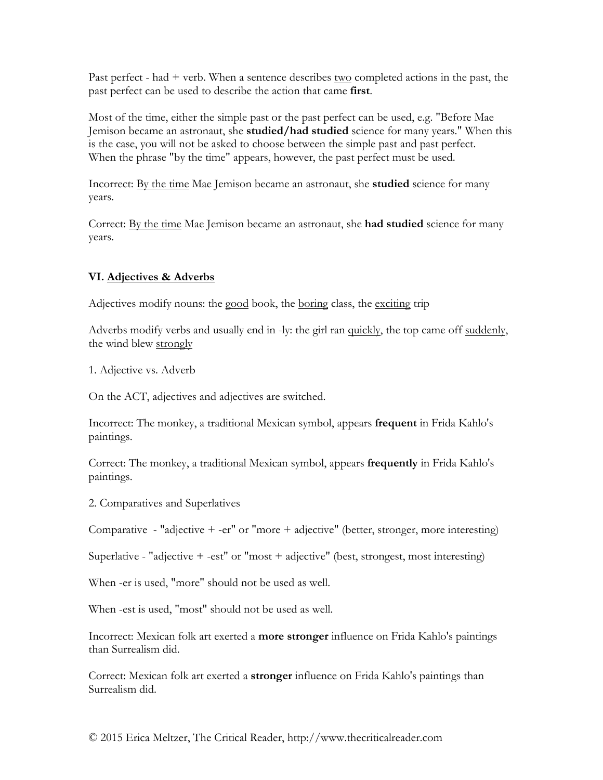Past perfect - had + verb. When a sentence describes two completed actions in the past, the past perfect can be used to describe the action that came **first**.

Most of the time, either the simple past or the past perfect can be used, e.g. "Before Mae Jemison became an astronaut, she **studied/had studied** science for many years." When this is the case, you will not be asked to choose between the simple past and past perfect. When the phrase "by the time" appears, however, the past perfect must be used.

Incorrect: By the time Mae Jemison became an astronaut, she **studied** science for many years.

Correct: By the time Mae Jemison became an astronaut, she **had studied** science for many years.

# **VI. Adjectives & Adverbs**

Adjectives modify nouns: the good book, the boring class, the exciting trip

Adverbs modify verbs and usually end in -ly: the girl ran quickly, the top came off suddenly, the wind blew strongly

1. Adjective vs. Adverb

On the ACT, adjectives and adjectives are switched.

Incorrect: The monkey, a traditional Mexican symbol, appears **frequent** in Frida Kahlo's paintings.

Correct: The monkey, a traditional Mexican symbol, appears **frequently** in Frida Kahlo's paintings.

2. Comparatives and Superlatives

Comparative - "adjective + -er" or "more + adjective" (better, stronger, more interesting)

Superlative - "adjective + -est" or "most + adjective" (best, strongest, most interesting)

When -er is used, "more" should not be used as well.

When -est is used, "most" should not be used as well.

Incorrect: Mexican folk art exerted a **more stronger** influence on Frida Kahlo's paintings than Surrealism did.

Correct: Mexican folk art exerted a **stronger** influence on Frida Kahlo's paintings than Surrealism did.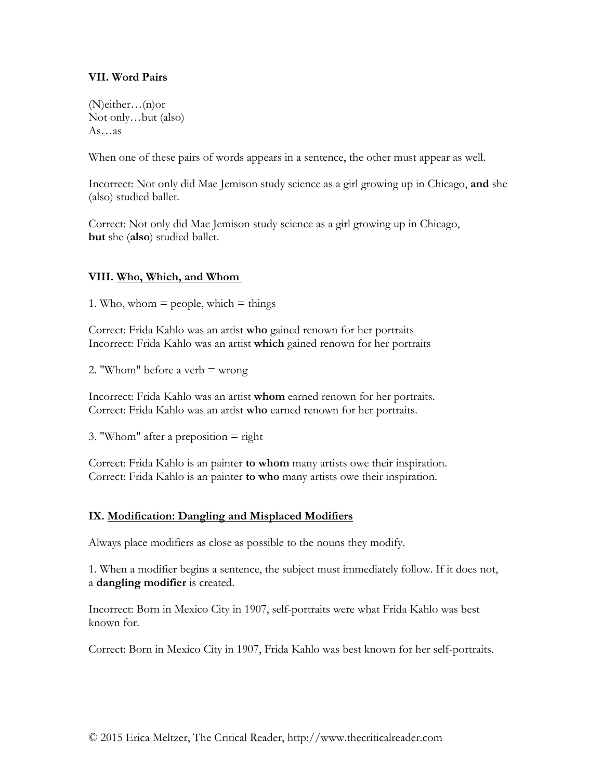## **VII. Word Pairs**

(N)either…(n)or Not only…but (also) As…as

When one of these pairs of words appears in a sentence, the other must appear as well.

Incorrect: Not only did Mae Jemison study science as a girl growing up in Chicago, **and** she (also) studied ballet.

Correct: Not only did Mae Jemison study science as a girl growing up in Chicago, **but** she (**also**) studied ballet.

#### **VIII. Who, Which, and Whom**

1. Who, whom  $=$  people, which  $=$  things

Correct: Frida Kahlo was an artist **who** gained renown for her portraits Incorrect: Frida Kahlo was an artist **which** gained renown for her portraits

2. "Whom" before a verb  $=$  wrong

Incorrect: Frida Kahlo was an artist **whom** earned renown for her portraits. Correct: Frida Kahlo was an artist **who** earned renown for her portraits.

3. "Whom" after a preposition  $=$  right

Correct: Frida Kahlo is an painter **to whom** many artists owe their inspiration. Correct: Frida Kahlo is an painter **to who** many artists owe their inspiration.

## **IX. Modification: Dangling and Misplaced Modifiers**

Always place modifiers as close as possible to the nouns they modify.

1. When a modifier begins a sentence, the subject must immediately follow. If it does not, a **dangling modifier** is created.

Incorrect: Born in Mexico City in 1907, self-portraits were what Frida Kahlo was best known for.

Correct: Born in Mexico City in 1907, Frida Kahlo was best known for her self-portraits.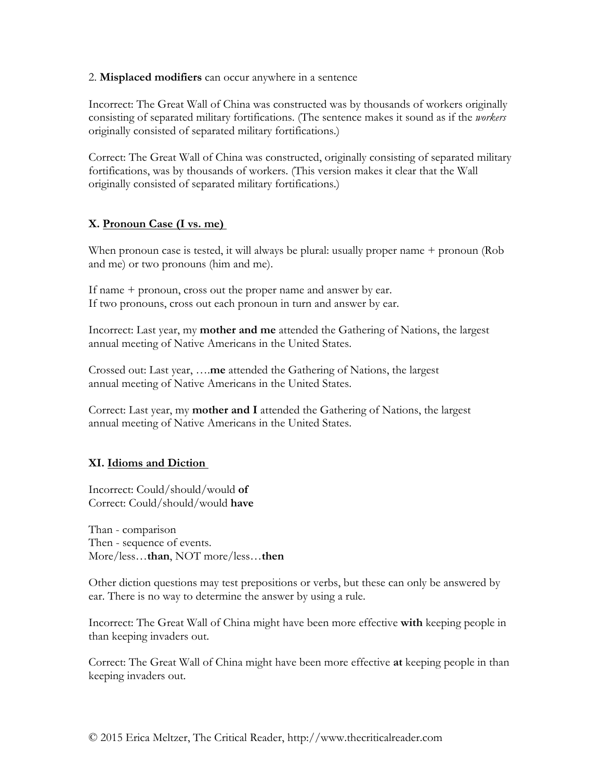2. **Misplaced modifiers** can occur anywhere in a sentence

Incorrect: The Great Wall of China was constructed was by thousands of workers originally consisting of separated military fortifications. (The sentence makes it sound as if the *workers* originally consisted of separated military fortifications.)

Correct: The Great Wall of China was constructed, originally consisting of separated military fortifications, was by thousands of workers. (This version makes it clear that the Wall originally consisted of separated military fortifications.)

# **X. Pronoun Case (I vs. me)**

When pronoun case is tested, it will always be plural: usually proper name + pronoun (Rob and me) or two pronouns (him and me).

If name + pronoun, cross out the proper name and answer by ear. If two pronouns, cross out each pronoun in turn and answer by ear.

Incorrect: Last year, my **mother and me** attended the Gathering of Nations, the largest annual meeting of Native Americans in the United States.

Crossed out: Last year, ….**me** attended the Gathering of Nations, the largest annual meeting of Native Americans in the United States.

Correct: Last year, my **mother and I** attended the Gathering of Nations, the largest annual meeting of Native Americans in the United States.

# **XI. Idioms and Diction**

Incorrect: Could/should/would **of** Correct: Could/should/would **have**

Than - comparison Then - sequence of events. More/less…**than**, NOT more/less…**then**

Other diction questions may test prepositions or verbs, but these can only be answered by ear. There is no way to determine the answer by using a rule.

Incorrect: The Great Wall of China might have been more effective **with** keeping people in than keeping invaders out.

Correct: The Great Wall of China might have been more effective **at** keeping people in than keeping invaders out.